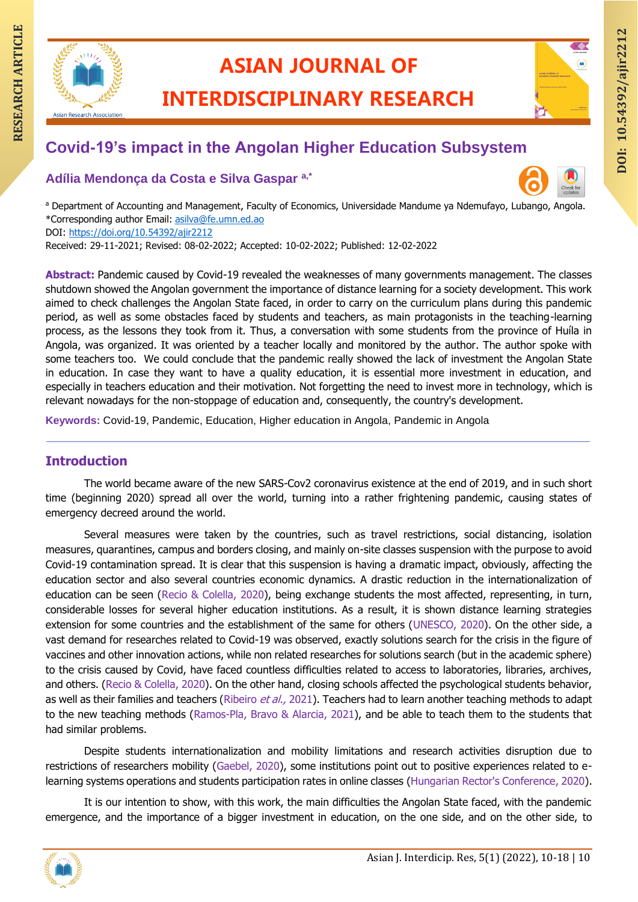

# **ASIAN JOURNAL OF**

**INTERDISCIPLINARY RESEARCH**

# **RESEARCH ASIAN JOURNAL OF ARTICLE INTERDISCIPLINARY RESEARCH Covid-19's impact in the Angolan Higher Education Subsystem**

**Adília Mendonça da Costa e Silva Gaspar a,\***



a Department of Accounting and Management, Faculty of Economics, Universidade Mandume ya Ndemufayo, Lubango, Angola. \*Corresponding author Email: [asilva@fe.umn.ed.ao](mailto:asilva@fe.umn.ed.ao) DOI:<https://doi.org/10.54392/ajir2212>

Received: 29-11-2021; Revised: 08-02-2022; Accepted: 10-02-2022; Published: 12-02-2022

Abstract: Pandemic caused by Covid-19 revealed the weaknesses of many governments management. The classes shutdown showed the Angolan government the importance of distance learning for a society development. This work aimed to check challenges the Angolan State faced, in order to carry on the curriculum plans during this pandemic period, as well as some obstacles faced by students and teachers, as main protagonists in the teaching-learning process, as the lessons they took from it. Thus, a conversation with some students from the province of Huíla in Angola, was organized. It was oriented by a teacher locally and monitored by the author. The author spoke with some teachers too. We could conclude that the pandemic really showed the lack of investment the Angolan State in education. In case they want to have a quality education, it is essential more investment in education, and especially in teachers education and their motivation. Not forgetting the need to invest more in technology, which is relevant nowadays for the non-stoppage of education and, consequently, the country's development.

**Keywords:** Covid-19, Pandemic, Education, Higher education in Angola, Pandemic in Angola

# **Introduction**

The world became aware of the new SARS-Cov2 coronavirus existence at the end of 2019, and in such short time (beginning 2020) spread all over the world, turning into a rather frightening pandemic, causing states of emergency decreed around the world.

Several measures were taken by the countries, such as travel restrictions, social distancing, isolation measures, quarantines, campus and borders closing, and mainly on-site classes suspension with the purpose to avoid Covid-19 contamination spread. It is clear that this suspension is having a dramatic impact, obviously, affecting the education sector and also several countries economic dynamics. A drastic reduction in the internationalization of education can be seen (Recio & Colella, 2020), being exchange students the most affected, representing, in turn, considerable losses for several higher education institutions. As a result, it is shown distance learning strategies extension for some countries and the establishment of the same for others (UNESCO, 2020). On the other side, a vast demand for researches related to Covid-19 was observed, exactly solutions search for the crisis in the figure of vaccines and other innovation actions, while non related researches for solutions search (but in the academic sphere) to the crisis caused by Covid, have faced countless difficulties related to access to laboratories, libraries, archives, and others. (Recio & Colella, 2020). On the other hand, closing schools affected the psychological students behavior, as well as their families and teachers (Ribeiro et al., 2021). Teachers had to learn another teaching methods to adapt to the new teaching methods (Ramos-Pla, Bravo & Alarcia, 2021), and be able to teach them to the students that had similar problems.

Despite students internationalization and mobility limitations and research activities disruption due to restrictions of researchers mobility (Gaebel, 2020), some institutions point out to positive experiences related to elearning systems operations and students participation rates in online classes (Hungarian Rector's Conference, 2020).

It is our intention to show, with this work, the main difficulties the Angolan State faced, with the pandemic emergence, and the importance of a bigger investment in education, on the one side, and on the other side, to

**DOI: 10.54392/ajir221** DOI: 10.54392/ajir2212

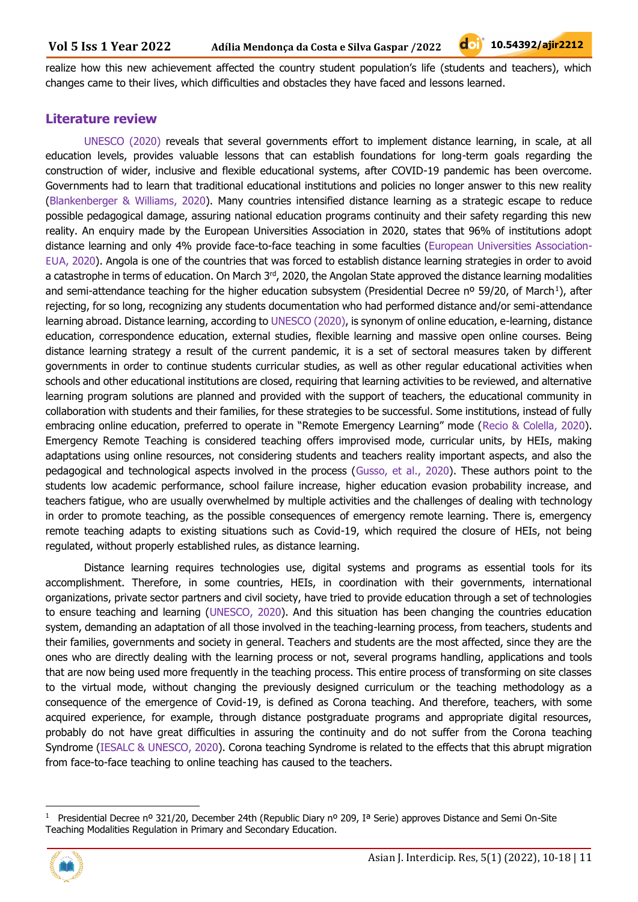realize how this new achievement affected the country student population's life (students and teachers), which changes came to their lives, which difficulties and obstacles they have faced and lessons learned.

### **Literature review**

UNESCO (2020) reveals that several governments effort to implement distance learning, in scale, at all education levels, provides valuable lessons that can establish foundations for long-term goals regarding the construction of wider, inclusive and flexible educational systems, after COVID-19 pandemic has been overcome. Governments had to learn that traditional educational institutions and policies no longer answer to this new reality (Blankenberger & Williams, 2020). Many countries intensified distance learning as a strategic escape to reduce possible pedagogical damage, assuring national education programs continuity and their safety regarding this new reality. An enquiry made by the European Universities Association in 2020, states that 96% of institutions adopt distance learning and only 4% provide face-to-face teaching in some faculties (European Universities Association-EUA, 2020). Angola is one of the countries that was forced to establish distance learning strategies in order to avoid a catastrophe in terms of education. On March 3<sup>rd</sup>, 2020, the Angolan State approved the distance learning modalities and semi-attendance teaching for the higher education subsystem (Presidential Decree nº 59/20, of March<sup>1</sup>), after rejecting, for so long, recognizing any students documentation who had performed distance and/or semi-attendance learning abroad. Distance learning, according to UNESCO (2020), is synonym of online education, e-learning, distance education, correspondence education, external studies, flexible learning and massive open online courses. Being distance learning strategy a result of the current pandemic, it is a set of sectoral measures taken by different governments in order to continue students curricular studies, as well as other regular educational activities when schools and other educational institutions are closed, requiring that learning activities to be reviewed, and alternative learning program solutions are planned and provided with the support of teachers, the educational community in collaboration with students and their families, for these strategies to be successful. Some institutions, instead of fully embracing online education, preferred to operate in "Remote Emergency Learning" mode (Recio & Colella, 2020). Emergency Remote Teaching is considered teaching offers improvised mode, curricular units, by HEIs, making adaptations using online resources, not considering students and teachers reality important aspects, and also the pedagogical and technological aspects involved in the process (Gusso, et al., 2020). These authors point to the students low academic performance, school failure increase, higher education evasion probability increase, and teachers fatigue, who are usually overwhelmed by multiple activities and the challenges of dealing with technology in order to promote teaching, as the possible consequences of emergency remote learning. There is, emergency remote teaching adapts to existing situations such as Covid-19, which required the closure of HEIs, not being regulated, without properly established rules, as distance learning.

Distance learning requires technologies use, digital systems and programs as essential tools for its accomplishment. Therefore, in some countries, HEIs, in coordination with their governments, international organizations, private sector partners and civil society, have tried to provide education through a set of technologies to ensure teaching and learning (UNESCO, 2020). And this situation has been changing the countries education system, demanding an adaptation of all those involved in the teaching-learning process, from teachers, students and their families, governments and society in general. Teachers and students are the most affected, since they are the ones who are directly dealing with the learning process or not, several programs handling, applications and tools that are now being used more frequently in the teaching process. This entire process of transforming on site classes to the virtual mode, without changing the previously designed curriculum or the teaching methodology as a consequence of the emergence of Covid-19, is defined as Corona teaching. And therefore, teachers, with some acquired experience, for example, through distance postgraduate programs and appropriate digital resources, probably do not have great difficulties in assuring the continuity and do not suffer from the Corona teaching Syndrome (IESALC & UNESCO, 2020). Corona teaching Syndrome is related to the effects that this abrupt migration from face-to-face teaching to online teaching has caused to the teachers.

<sup>1</sup> Presidential Decree nº 321/20, December 24th (Republic Diary nº 209, Iª Serie) approves Distance and Semi On-Site Teaching Modalities Regulation in Primary and Secondary Education.

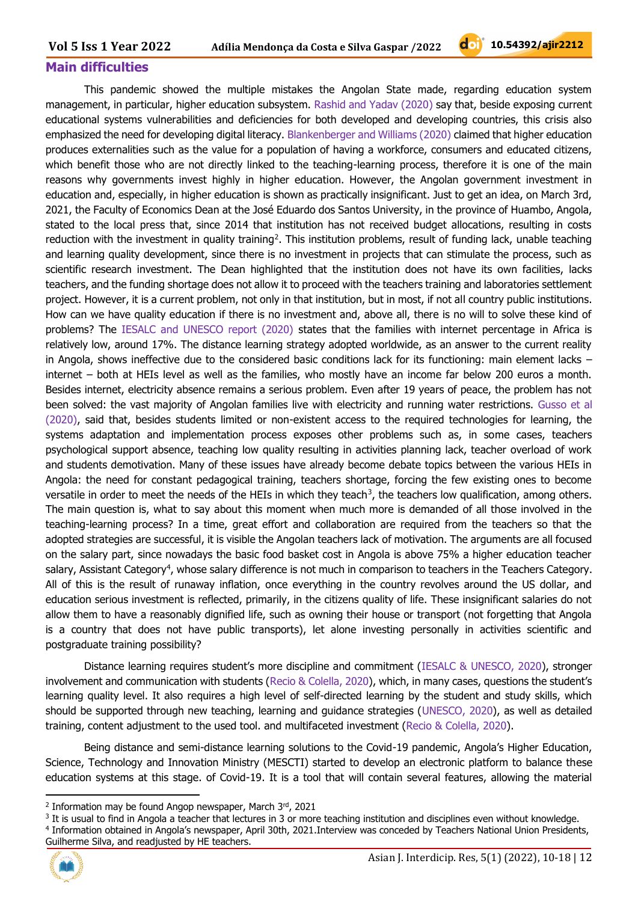### **Main difficulties**

This pandemic showed the multiple mistakes the Angolan State made, regarding education system management, in particular, higher education subsystem. Rashid and Yadav (2020) say that, beside exposing current educational systems vulnerabilities and deficiencies for both developed and developing countries, this crisis also emphasized the need for developing digital literacy. Blankenberger and Williams (2020) claimed that higher education produces externalities such as the value for a population of having a workforce, consumers and educated citizens, which benefit those who are not directly linked to the teaching-learning process, therefore it is one of the main reasons why governments invest highly in higher education. However, the Angolan government investment in education and, especially, in higher education is shown as practically insignificant. Just to get an idea, on March 3rd, 2021, the Faculty of Economics Dean at the José Eduardo dos Santos University, in the province of Huambo, Angola, stated to the local press that, since 2014 that institution has not received budget allocations, resulting in costs reduction with the investment in quality training<sup>2</sup>. This institution problems, result of funding lack, unable teaching and learning quality development, since there is no investment in projects that can stimulate the process, such as scientific research investment. The Dean highlighted that the institution does not have its own facilities, lacks teachers, and the funding shortage does not allow it to proceed with the teachers training and laboratories settlement project. However, it is a current problem, not only in that institution, but in most, if not all country public institutions. How can we have quality education if there is no investment and, above all, there is no will to solve these kind of problems? The IESALC and UNESCO report (2020) states that the families with internet percentage in Africa is relatively low, around 17%. The distance learning strategy adopted worldwide, as an answer to the current reality in Angola, shows ineffective due to the considered basic conditions lack for its functioning: main element lacks – internet – both at HEIs level as well as the families, who mostly have an income far below 200 euros a month. Besides internet, electricity absence remains a serious problem. Even after 19 years of peace, the problem has not been solved: the vast majority of Angolan families live with electricity and running water restrictions. Gusso et al (2020), said that, besides students limited or non-existent access to the required technologies for learning, the systems adaptation and implementation process exposes other problems such as, in some cases, teachers psychological support absence, teaching low quality resulting in activities planning lack, teacher overload of work and students demotivation. Many of these issues have already become debate topics between the various HEIs in Angola: the need for constant pedagogical training, teachers shortage, forcing the few existing ones to become versatile in order to meet the needs of the HEIs in which they teach $^3$ , the teachers low qualification, among others. The main question is, what to say about this moment when much more is demanded of all those involved in the teaching-learning process? In a time, great effort and collaboration are required from the teachers so that the adopted strategies are successful, it is visible the Angolan teachers lack of motivation. The arguments are all focused on the salary part, since nowadays the basic food basket cost in Angola is above 75% a higher education teacher salary, Assistant Category<sup>4</sup>, whose salary difference is not much in comparison to teachers in the Teachers Category. All of this is the result of runaway inflation, once everything in the country revolves around the US dollar, and education serious investment is reflected, primarily, in the citizens quality of life. These insignificant salaries do not allow them to have a reasonably dignified life, such as owning their house or transport (not forgetting that Angola is a country that does not have public transports), let alone investing personally in activities scientific and postgraduate training possibility?

Distance learning requires student's more discipline and commitment (IESALC & UNESCO, 2020), stronger involvement and communication with students (Recio & Colella, 2020), which, in many cases, questions the student's learning quality level. It also requires a high level of self-directed learning by the student and study skills, which should be supported through new teaching, learning and guidance strategies (UNESCO, 2020), as well as detailed training, content adjustment to the used tool. and multifaceted investment (Recio & Colella, 2020).

Being distance and semi-distance learning solutions to the Covid-19 pandemic, Angola's Higher Education, Science, Technology and Innovation Ministry (MESCTI) started to develop an electronic platform to balance these education systems at this stage. of Covid-19. It is a tool that will contain several features, allowing the material

 $3$  It is usual to find in Angola a teacher that lectures in 3 or more teaching institution and disciplines even without knowledge. 4 Information obtained in Angola's newspaper, April 30th, 2021.Interview was conceded by Teachers National Union Presidents, Guilherme Silva, and readjusted by HE teachers.



<sup>&</sup>lt;sup>2</sup> Information may be found Angop newspaper, March 3rd, 2021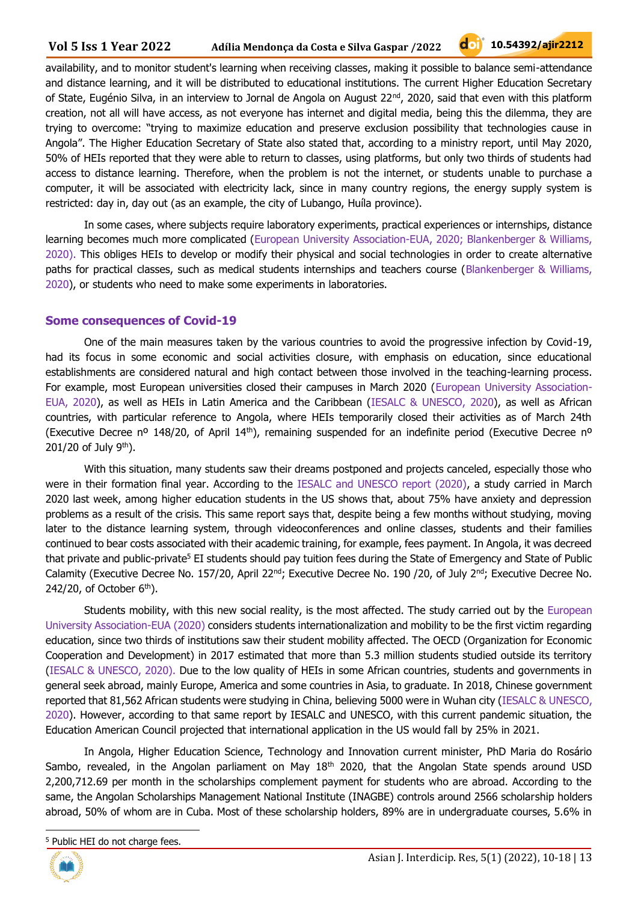availability, and to monitor student's learning when receiving classes, making it possible to balance semi-attendance and distance learning, and it will be distributed to educational institutions. The current Higher Education Secretary of State, Eugénio Silva, in an interview to Jornal de Angola on August  $22^{nd}$ , 2020, said that even with this platform creation, not all will have access, as not everyone has internet and digital media, being this the dilemma, they are trying to overcome: "trying to maximize education and preserve exclusion possibility that technologies cause in Angola". The Higher Education Secretary of State also stated that, according to a ministry report, until May 2020, 50% of HEIs reported that they were able to return to classes, using platforms, but only two thirds of students had access to distance learning. Therefore, when the problem is not the internet, or students unable to purchase a computer, it will be associated with electricity lack, since in many country regions, the energy supply system is restricted: day in, day out (as an example, the city of Lubango, Huíla province).

In some cases, where subjects require laboratory experiments, practical experiences or internships, distance learning becomes much more complicated (European University Association-EUA, 2020; Blankenberger & Williams, 2020). This obliges HEIs to develop or modify their physical and social technologies in order to create alternative paths for practical classes, such as medical students internships and teachers course (Blankenberger & Williams, 2020), or students who need to make some experiments in laboratories.

#### **Some consequences of Covid-19**

One of the main measures taken by the various countries to avoid the progressive infection by Covid-19, had its focus in some economic and social activities closure, with emphasis on education, since educational establishments are considered natural and high contact between those involved in the teaching-learning process. For example, most European universities closed their campuses in March 2020 (European University Association-EUA, 2020), as well as HEIs in Latin America and the Caribbean (IESALC & UNESCO, 2020), as well as African countries, with particular reference to Angola, where HEIs temporarily closed their activities as of March 24th (Executive Decree nº 148/20, of April 14<sup>th</sup>), remaining suspended for an indefinite period (Executive Decree nº  $201/20$  of July 9<sup>th</sup>).

With this situation, many students saw their dreams postponed and projects canceled, especially those who were in their formation final year. According to the IESALC and UNESCO report (2020), a study carried in March 2020 last week, among higher education students in the US shows that, about 75% have anxiety and depression problems as a result of the crisis. This same report says that, despite being a few months without studying, moving later to the distance learning system, through videoconferences and online classes, students and their families continued to bear costs associated with their academic training, for example, fees payment. In Angola, it was decreed that private and public-private<sup>5</sup> EI students should pay tuition fees during the State of Emergency and State of Public Calamity (Executive Decree No. 157/20, April 22<sup>nd</sup>; Executive Decree No. 190 /20, of July 2<sup>nd</sup>; Executive Decree No. 242/20, of October  $6<sup>th</sup>$ ).

Students mobility, with this new social reality, is the most affected. The study carried out by the European University Association-EUA (2020) considers students internationalization and mobility to be the first victim regarding education, since two thirds of institutions saw their student mobility affected. The OECD (Organization for Economic Cooperation and Development) in 2017 estimated that more than 5.3 million students studied outside its territory (IESALC & UNESCO, 2020). Due to the low quality of HEIs in some African countries, students and governments in general seek abroad, mainly Europe, America and some countries in Asia, to graduate. In 2018, Chinese government reported that 81,562 African students were studying in China, believing 5000 were in Wuhan city (IESALC & UNESCO, 2020). However, according to that same report by IESALC and UNESCO, with this current pandemic situation, the Education American Council projected that international application in the US would fall by 25% in 2021.

In Angola, Higher Education Science, Technology and Innovation current minister, PhD Maria do Rosário Sambo, revealed, in the Angolan parliament on May 18<sup>th</sup> 2020, that the Angolan State spends around USD 2,200,712.69 per month in the scholarships complement payment for students who are abroad. According to the same, the Angolan Scholarships Management National Institute (INAGBE) controls around 2566 scholarship holders abroad, 50% of whom are in Cuba. Most of these scholarship holders, 89% are in undergraduate courses, 5.6% in

<sup>5</sup> Public HEI do not charge fees.

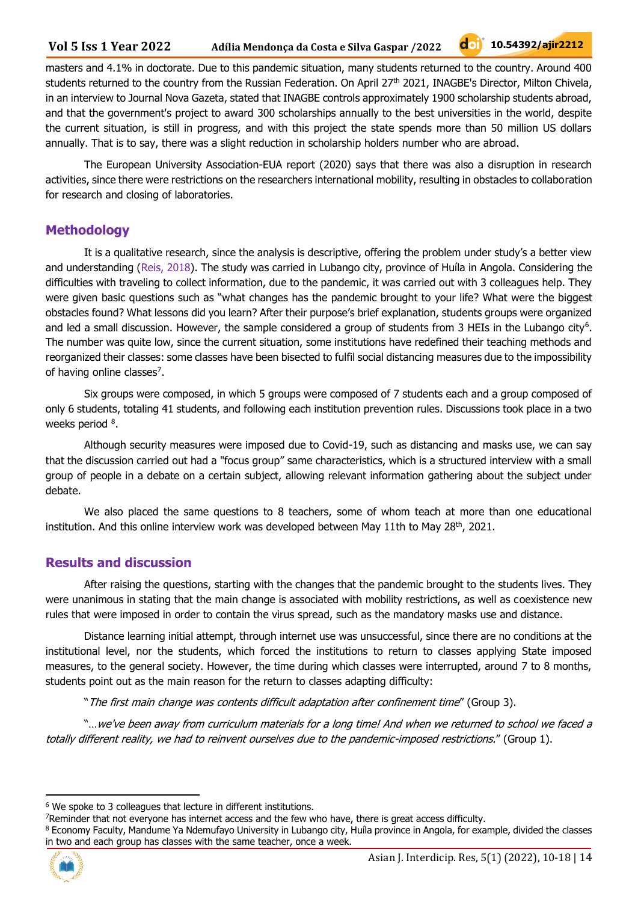#### **Vol 5 Iss 1 Year 2022 Adília Mendonça da Costa e Silva Gaspar /2022**

masters and 4.1% in doctorate. Due to this pandemic situation, many students returned to the country. Around 400 students returned to the country from the Russian Federation. On April 27th 2021, INAGBE's Director, Milton Chivela, in an interview to Journal Nova Gazeta, stated that INAGBE controls approximately 1900 scholarship students abroad, and that the government's project to award 300 scholarships annually to the best universities in the world, despite the current situation, is still in progress, and with this project the state spends more than 50 million US dollars annually. That is to say, there was a slight reduction in scholarship holders number who are abroad.

The European University Association-EUA report (2020) says that there was also a disruption in research activities, since there were restrictions on the researchers international mobility, resulting in obstacles to collaboration for research and closing of laboratories.

### **Methodology**

It is a qualitative research, since the analysis is descriptive, offering the problem under study's a better view and understanding (Reis, 2018). The study was carried in Lubango city, province of Huíla in Angola. Considering the difficulties with traveling to collect information, due to the pandemic, it was carried out with 3 colleagues help. They were given basic questions such as "what changes has the pandemic brought to your life? What were the biggest obstacles found? What lessons did you learn? After their purpose's brief explanation, students groups were organized and led a small discussion. However, the sample considered a group of students from 3 HEIs in the Lubango city<sup>6</sup>. The number was quite low, since the current situation, some institutions have redefined their teaching methods and reorganized their classes: some classes have been bisected to fulfil social distancing measures due to the impossibility of having online classes<sup>7</sup>.

Six groups were composed, in which 5 groups were composed of 7 students each and a group composed of only 6 students, totaling 41 students, and following each institution prevention rules. Discussions took place in a two weeks period <sup>8</sup>.

Although security measures were imposed due to Covid-19, such as distancing and masks use, we can say that the discussion carried out had a "focus group" same characteristics, which is a structured interview with a small group of people in a debate on a certain subject, allowing relevant information gathering about the subject under debate.

We also placed the same questions to 8 teachers, some of whom teach at more than one educational institution. And this online interview work was developed between May 11th to May 28<sup>th</sup>, 2021.

### **Results and discussion**

After raising the questions, starting with the changes that the pandemic brought to the students lives. They were unanimous in stating that the main change is associated with mobility restrictions, as well as coexistence new rules that were imposed in order to contain the virus spread, such as the mandatory masks use and distance.

Distance learning initial attempt, through internet use was unsuccessful, since there are no conditions at the institutional level, nor the students, which forced the institutions to return to classes applying State imposed measures, to the general society. However, the time during which classes were interrupted, around 7 to 8 months, students point out as the main reason for the return to classes adapting difficulty:

"The first main change was contents difficult adaptation after confinement time" (Group 3).

"…we've been away from curriculum materials for a long time! And when we returned to school we faced a totally different reality, we had to reinvent ourselves due to the pandemic-imposed restrictions." (Group 1).

<sup>&</sup>lt;sup>8</sup> Economy Faculty, Mandume Ya Ndemufayo University in Lubango city, Huíla province in Angola, for example, divided the classes in two and each group has classes with the same teacher, once a week.



<sup>6</sup> We spoke to 3 colleagues that lecture in different institutions.

<sup>7</sup>Reminder that not everyone has internet access and the few who have, there is great access difficulty.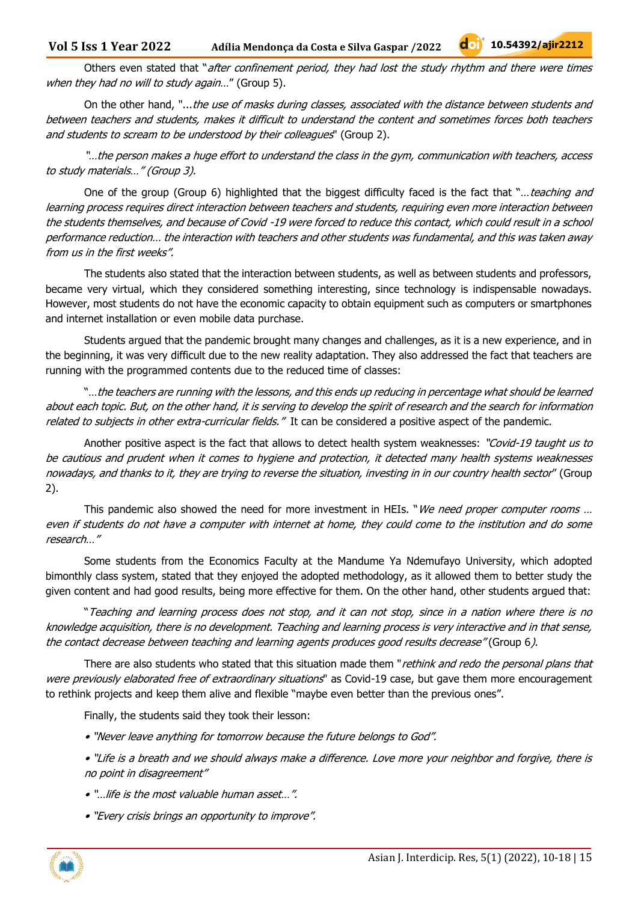On the other hand, "...the use of masks during classes, associated with the distance between students and between teachers and students, makes it difficult to understand the content and sometimes forces both teachers and students to scream to be understood by their colleagues" (Group 2).

"…the person makes a huge effort to understand the class in the gym, communication with teachers, access to study materials…" (Group 3).

One of the group (Group 6) highlighted that the biggest difficulty faced is the fact that "... teaching and learning process requires direct interaction between teachers and students, requiring even more interaction between the students themselves, and because of Covid -19 were forced to reduce this contact, which could result in a school performance reduction… the interaction with teachers and other students was fundamental, and this was taken away from us in the first weeks".

The students also stated that the interaction between students, as well as between students and professors, became very virtual, which they considered something interesting, since technology is indispensable nowadays. However, most students do not have the economic capacity to obtain equipment such as computers or smartphones and internet installation or even mobile data purchase.

Students argued that the pandemic brought many changes and challenges, as it is a new experience, and in the beginning, it was very difficult due to the new reality adaptation. They also addressed the fact that teachers are running with the programmed contents due to the reduced time of classes:

"…the teachers are running with the lessons, and this ends up reducing in percentage what should be learned about each topic. But, on the other hand, it is serving to develop the spirit of research and the search for information related to subjects in other extra-curricular fields." It can be considered a positive aspect of the pandemic.

Another positive aspect is the fact that allows to detect health system weaknesses: "Covid-19 taught us to be cautious and prudent when it comes to hygiene and protection, it detected many health systems weaknesses nowadays, and thanks to it, they are trying to reverse the situation, investing in in our country health sector" (Group 2).

This pandemic also showed the need for more investment in HEIs. "We need proper computer rooms ... even if students do not have a computer with internet at home, they could come to the institution and do some research…"

Some students from the Economics Faculty at the Mandume Ya Ndemufayo University, which adopted bimonthly class system, stated that they enjoyed the adopted methodology, as it allowed them to better study the given content and had good results, being more effective for them. On the other hand, other students argued that:

"Teaching and learning process does not stop, and it can not stop, since in a nation where there is no knowledge acquisition, there is no development. Teaching and learning process is very interactive and in that sense, the contact decrease between teaching and learning agents produces good results decrease" (Group 6).

There are also students who stated that this situation made them "rethink and redo the personal plans that were previously elaborated free of extraordinary situations" as Covid-19 case, but gave them more encouragement to rethink projects and keep them alive and flexible "maybe even better than the previous ones".

Finally, the students said they took their lesson:

- "Never leave anything for tomorrow because the future belongs to God".
- "Life is a breath and we should always make a difference. Love more your neighbor and forgive, there is no point in disagreement"
- "…life is the most valuable human asset…".
- "Every crisis brings an opportunity to improve".

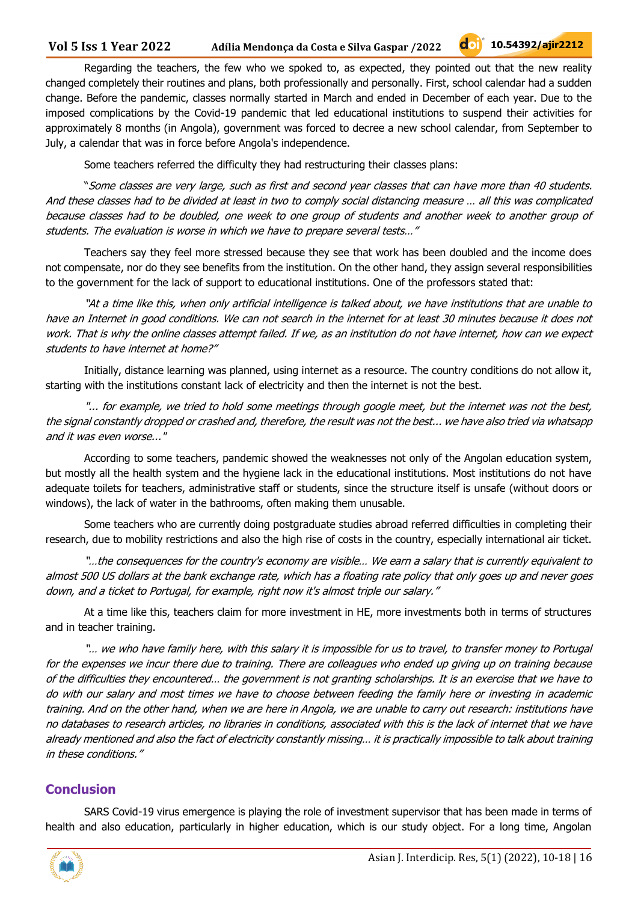Regarding the teachers, the few who we spoked to, as expected, they pointed out that the new reality changed completely their routines and plans, both professionally and personally. First, school calendar had a sudden change. Before the pandemic, classes normally started in March and ended in December of each year. Due to the imposed complications by the Covid-19 pandemic that led educational institutions to suspend their activities for approximately 8 months (in Angola), government was forced to decree a new school calendar, from September to July, a calendar that was in force before Angola's independence.

Some teachers referred the difficulty they had restructuring their classes plans:

"Some classes are very large, such as first and second year classes that can have more than 40 students. And these classes had to be divided at least in two to comply social distancing measure … all this was complicated because classes had to be doubled, one week to one group of students and another week to another group of students. The evaluation is worse in which we have to prepare several tests…"

Teachers say they feel more stressed because they see that work has been doubled and the income does not compensate, nor do they see benefits from the institution. On the other hand, they assign several responsibilities to the government for the lack of support to educational institutions. One of the professors stated that:

"At a time like this, when only artificial intelligence is talked about, we have institutions that are unable to have an Internet in good conditions. We can not search in the internet for at least 30 minutes because it does not work. That is why the online classes attempt failed. If we, as an institution do not have internet, how can we expect students to have internet at home?"

Initially, distance learning was planned, using internet as a resource. The country conditions do not allow it, starting with the institutions constant lack of electricity and then the internet is not the best.

"... for example, we tried to hold some meetings through google meet, but the internet was not the best, the signal constantly dropped or crashed and, therefore, the result was not the best... we have also tried via whatsapp and it was even worse..."

According to some teachers, pandemic showed the weaknesses not only of the Angolan education system, but mostly all the health system and the hygiene lack in the educational institutions. Most institutions do not have adequate toilets for teachers, administrative staff or students, since the structure itself is unsafe (without doors or windows), the lack of water in the bathrooms, often making them unusable.

Some teachers who are currently doing postgraduate studies abroad referred difficulties in completing their research, due to mobility restrictions and also the high rise of costs in the country, especially international air ticket.

"…the consequences for the country's economy are visible… We earn a salary that is currently equivalent to almost 500 US dollars at the bank exchange rate, which has a floating rate policy that only goes up and never goes down, and a ticket to Portugal, for example, right now it's almost triple our salary."

At a time like this, teachers claim for more investment in HE, more investments both in terms of structures and in teacher training.

"… we who have family here, with this salary it is impossible for us to travel, to transfer money to Portugal for the expenses we incur there due to training. There are colleagues who ended up giving up on training because of the difficulties they encountered… the government is not granting scholarships. It is an exercise that we have to do with our salary and most times we have to choose between feeding the family here or investing in academic training. And on the other hand, when we are here in Angola, we are unable to carry out research: institutions have no databases to research articles, no libraries in conditions, associated with this is the lack of internet that we have already mentioned and also the fact of electricity constantly missing… it is practically impossible to talk about training in these conditions."

## **Conclusion**

SARS Covid-19 virus emergence is playing the role of investment supervisor that has been made in terms of health and also education, particularly in higher education, which is our study object. For a long time, Angolan

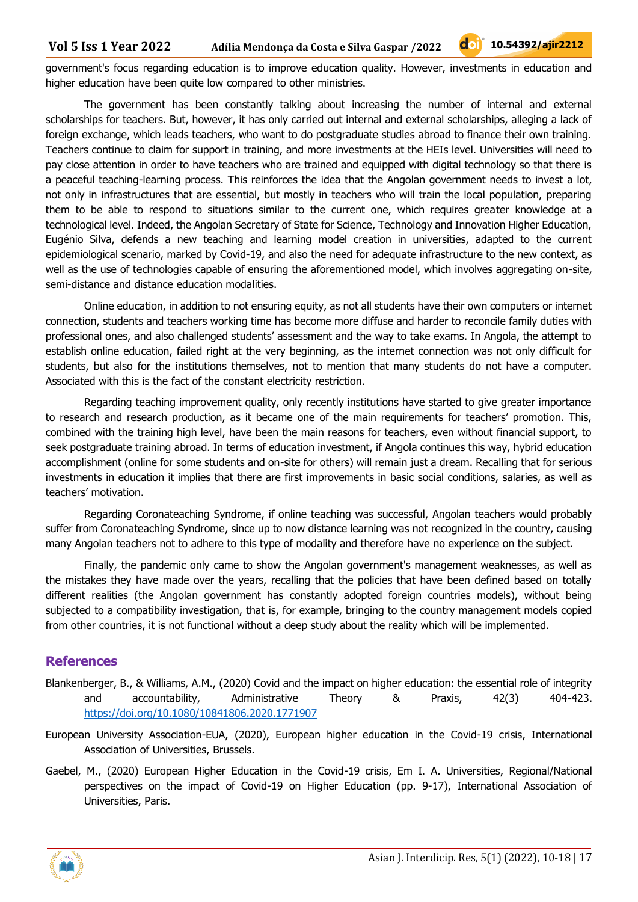government's focus regarding education is to improve education quality. However, investments in education and higher education have been quite low compared to other ministries.

The government has been constantly talking about increasing the number of internal and external scholarships for teachers. But, however, it has only carried out internal and external scholarships, alleging a lack of foreign exchange, which leads teachers, who want to do postgraduate studies abroad to finance their own training. Teachers continue to claim for support in training, and more investments at the HEIs level. Universities will need to pay close attention in order to have teachers who are trained and equipped with digital technology so that there is a peaceful teaching-learning process. This reinforces the idea that the Angolan government needs to invest a lot, not only in infrastructures that are essential, but mostly in teachers who will train the local population, preparing them to be able to respond to situations similar to the current one, which requires greater knowledge at a technological level. Indeed, the Angolan Secretary of State for Science, Technology and Innovation Higher Education, Eugénio Silva, defends a new teaching and learning model creation in universities, adapted to the current epidemiological scenario, marked by Covid-19, and also the need for adequate infrastructure to the new context, as well as the use of technologies capable of ensuring the aforementioned model, which involves aggregating on-site, semi-distance and distance education modalities.

Online education, in addition to not ensuring equity, as not all students have their own computers or internet connection, students and teachers working time has become more diffuse and harder to reconcile family duties with professional ones, and also challenged students' assessment and the way to take exams. In Angola, the attempt to establish online education, failed right at the very beginning, as the internet connection was not only difficult for students, but also for the institutions themselves, not to mention that many students do not have a computer. Associated with this is the fact of the constant electricity restriction.

Regarding teaching improvement quality, only recently institutions have started to give greater importance to research and research production, as it became one of the main requirements for teachers' promotion. This, combined with the training high level, have been the main reasons for teachers, even without financial support, to seek postgraduate training abroad. In terms of education investment, if Angola continues this way, hybrid education accomplishment (online for some students and on-site for others) will remain just a dream. Recalling that for serious investments in education it implies that there are first improvements in basic social conditions, salaries, as well as teachers' motivation.

Regarding Coronateaching Syndrome, if online teaching was successful, Angolan teachers would probably suffer from Coronateaching Syndrome, since up to now distance learning was not recognized in the country, causing many Angolan teachers not to adhere to this type of modality and therefore have no experience on the subject.

Finally, the pandemic only came to show the Angolan government's management weaknesses, as well as the mistakes they have made over the years, recalling that the policies that have been defined based on totally different realities (the Angolan government has constantly adopted foreign countries models), without being subjected to a compatibility investigation, that is, for example, bringing to the country management models copied from other countries, it is not functional without a deep study about the reality which will be implemented.

### **References**

- Blankenberger, B., & Williams, A.M., (2020) Covid and the impact on higher education: the essential role of integrity and accountability, Administrative Theory & Praxis, 42(3) 404-423. <https://doi.org/10.1080/10841806.2020.1771907>
- European University Association-EUA, (2020), European higher education in the Covid-19 crisis, International Association of Universities, Brussels.
- Gaebel, M., (2020) European Higher Education in the Covid-19 crisis, Em I. A. Universities, Regional/National perspectives on the impact of Covid-19 on Higher Education (pp. 9-17), International Association of Universities, Paris.